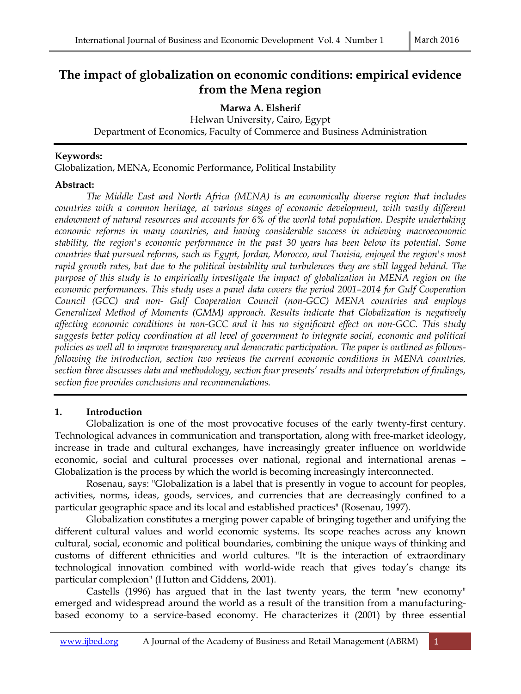# **The impact of globalization on economic conditions: empirical evidence from the Mena region**

**Marwa A. Elsherif** 

Helwan University, Cairo, Egypt Department of Economics, Faculty of Commerce and Business Administration

### **Keywords:**

Globalization, MENA, Economic Performance**,** Political Instability

## **Abstract:**

 *The Middle East and North Africa (MENA) is an economically diverse region that includes countries with a common heritage, at various stages of economic development, with vastly different endowment of natural resources and accounts for 6% of the world total population. Despite undertaking economic reforms in many countries, and having considerable success in achieving macroeconomic stability, the region's economic performance in the past 30 years has been below its potential. Some countries that pursued reforms, such as Egypt, Jordan, Morocco, and Tunisia, enjoyed the region's most rapid growth rates, but due to the political instability and turbulences they are still lagged behind. The purpose of this study is to empirically investigate the impact of globalization in MENA region on the economic performances. This study uses a panel data covers the period 2001–2014 for Gulf Cooperation Council (GCC) and non- Gulf Cooperation Council (non-GCC) MENA countries and employs Generalized Method of Moments (GMM) approach. Results indicate that Globalization is negatively affecting economic conditions in non-GCC and it has no significant effect on non-GCC. This study suggests better policy coordination at all level of government to integrate social, economic and political policies as well all to improve transparency and democratic participation. The paper is outlined as followsfollowing the introduction, section two reviews the current economic conditions in MENA countries, section three discusses data and methodology, section four presents' results and interpretation of findings, section five provides conclusions and recommendations.* 

## **1. Introduction**

Globalization is one of the most provocative focuses of the early twenty-first century. Technological advances in communication and transportation, along with free-market ideology, increase in trade and cultural exchanges, have increasingly greater influence on worldwide economic, social and cultural processes over national, regional and international arenas – Globalization is the process by which the world is becoming increasingly interconnected.

Rosenau, says: "Globalization is a label that is presently in vogue to account for peoples, activities, norms, ideas, goods, services, and currencies that are decreasingly confined to a particular geographic space and its local and established practices" (Rosenau, 1997).

Globalization constitutes a merging power capable of bringing together and unifying the different cultural values and world economic systems. Its scope reaches across any known cultural, social, economic and political boundaries, combining the unique ways of thinking and customs of different ethnicities and world cultures. "It is the interaction of extraordinary technological innovation combined with world-wide reach that gives today's change its particular complexion" (Hutton and Giddens, 2001).

Castells (1996) has argued that in the last twenty years, the term "new economy" emerged and widespread around the world as a result of the transition from a manufacturingbased economy to a service-based economy. He characterizes it (2001) by three essential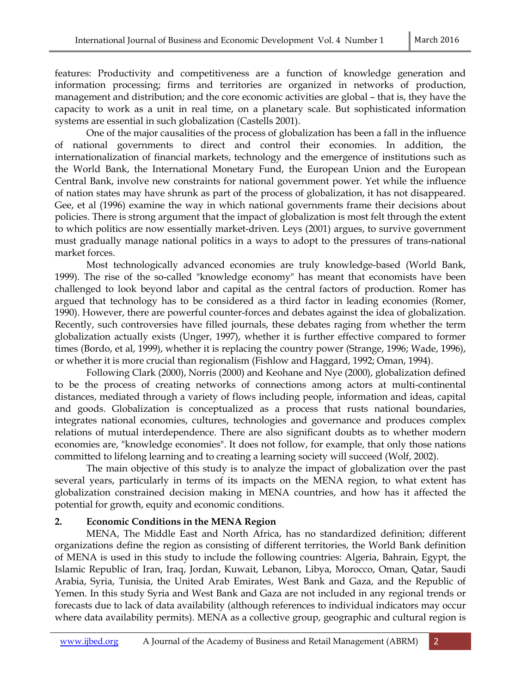features: Productivity and competitiveness are a function of knowledge generation and information processing; firms and territories are organized in networks of production, management and distribution; and the core economic activities are global – that is, they have the capacity to work as a unit in real time, on a planetary scale. But sophisticated information systems are essential in such globalization (Castells 2001).

One of the major causalities of the process of globalization has been a fall in the influence of national governments to direct and control their economies. In addition, the internationalization of financial markets, technology and the emergence of institutions such as the World Bank, the International Monetary Fund, the European Union and the European Central Bank, involve new constraints for national government power. Yet while the influence of nation states may have shrunk as part of the process of globalization, it has not disappeared. Gee, et al (1996) examine the way in which national governments frame their decisions about policies. There is strong argument that the impact of globalization is most felt through the extent to which politics are now essentially market-driven. Leys (2001) argues, to survive government must gradually manage national politics in a ways to adopt to the pressures of trans-national market forces.

 Most technologically advanced economies are truly knowledge-based (World Bank, 1999). The rise of the so-called "knowledge economy" has meant that economists have been challenged to look beyond labor and capital as the central factors of production. Romer has argued that technology has to be considered as a third factor in leading economies (Romer, 1990). However, there are powerful counter-forces and debates against the idea of globalization. Recently, such controversies have filled journals, these debates raging from whether the term globalization actually exists (Unger, 1997), whether it is further effective compared to former times (Bordo, et al, 1999), whether it is replacing the country power (Strange, 1996; Wade, 1996), or whether it is more crucial than regionalism (Fishlow and Haggard, 1992; Oman, 1994).

 Following Clark (2000), Norris (2000) and Keohane and Nye (2000), globalization defined to be the process of creating networks of connections among actors at multi-continental distances, mediated through a variety of flows including people, information and ideas, capital and goods. Globalization is conceptualized as a process that rusts national boundaries, integrates national economies, cultures, technologies and governance and produces complex relations of mutual interdependence. There are also significant doubts as to whether modern economies are, "knowledge economies". It does not follow, for example, that only those nations committed to lifelong learning and to creating a learning society will succeed (Wolf, 2002).

 The main objective of this study is to analyze the impact of globalization over the past several years, particularly in terms of its impacts on the MENA region, to what extent has globalization constrained decision making in MENA countries, and how has it affected the potential for growth, equity and economic conditions.

## **2. Economic Conditions in the MENA Region**

 MENA, The Middle East and North Africa, has no standardized definition; different organizations define the region as consisting of different territories, the World Bank definition of MENA is used in this study to include the following countries: Algeria, Bahrain, Egypt, the Islamic Republic of Iran, Iraq, Jordan, Kuwait, Lebanon, Libya, Morocco, Oman, Qatar, Saudi Arabia, Syria, Tunisia, the United Arab Emirates, West Bank and Gaza, and the Republic of Yemen. In this study Syria and West Bank and Gaza are not included in any regional trends or forecasts due to lack of data availability (although references to individual indicators may occur where data availability permits). MENA as a collective group, geographic and cultural region is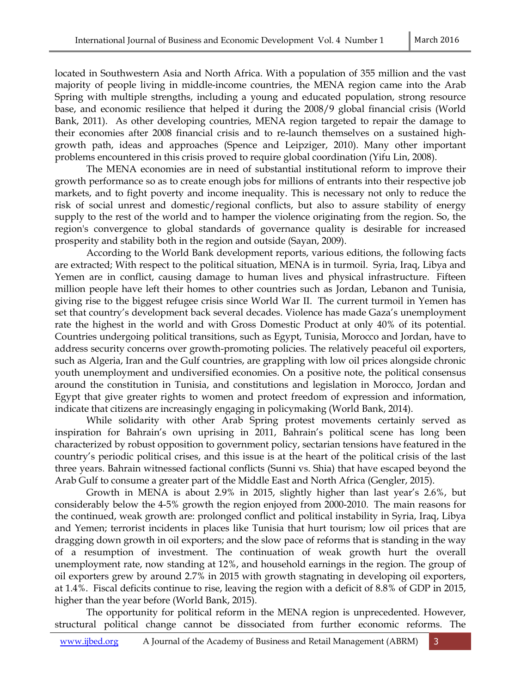located in Southwestern Asia and North Africa. With a population of 355 million and the vast majority of people living in middle-income countries, the MENA region came into the Arab Spring with multiple strengths, including a young and educated population, strong resource base, and economic resilience that helped it during the 2008/9 global financial crisis (World Bank, 2011). As other developing countries, MENA region targeted to repair the damage to their economies after 2008 financial crisis and to re-launch themselves on a sustained highgrowth path, ideas and approaches (Spence and Leipziger, 2010). Many other important problems encountered in this crisis proved to require global coordination (Yifu Lin, 2008).

 The MENA economies are in need of substantial institutional reform to improve their growth performance so as to create enough jobs for millions of entrants into their respective job markets, and to fight poverty and income inequality. This is necessary not only to reduce the risk of social unrest and domestic/regional conflicts, but also to assure stability of energy supply to the rest of the world and to hamper the violence originating from the region. So, the region's convergence to global standards of governance quality is desirable for increased prosperity and stability both in the region and outside (Sayan, 2009).

 According to the World Bank development reports, various editions, the following facts are extracted; With respect to the political situation, MENA is in turmoil. Syria, Iraq, Libya and Yemen are in conflict, causing damage to human lives and physical infrastructure. Fifteen million people have left their homes to other countries such as Jordan, Lebanon and Tunisia, giving rise to the biggest refugee crisis since World War II. The current turmoil in Yemen has set that country's development back several decades. Violence has made Gaza's unemployment rate the highest in the world and with Gross Domestic Product at only 40% of its potential. Countries undergoing political transitions, such as Egypt, Tunisia, Morocco and Jordan, have to address security concerns over growth-promoting policies. The relatively peaceful oil exporters, such as Algeria, Iran and the Gulf countries, are grappling with low oil prices alongside chronic youth unemployment and undiversified economies. On a positive note, the political consensus around the constitution in Tunisia, and constitutions and legislation in Morocco, Jordan and Egypt that give greater rights to women and protect freedom of expression and information, indicate that citizens are increasingly engaging in policymaking (World Bank, 2014).

 While solidarity with other Arab Spring protest movements certainly served as inspiration for Bahrain's own uprising in 2011, Bahrain's political scene has long been characterized by robust opposition to government policy, sectarian tensions have featured in the country's periodic political crises, and this issue is at the heart of the political crisis of the last three years. Bahrain witnessed factional conflicts (Sunni vs. Shia) that have escaped beyond the Arab Gulf to consume a greater part of the Middle East and North Africa (Gengler, 2015).

 Growth in MENA is about 2.9% in 2015, slightly higher than last year's 2.6%, but considerably below the 4-5% growth the region enjoyed from 2000-2010. The main reasons for the continued, weak growth are: prolonged conflict and political instability in Syria, Iraq, Libya and Yemen; terrorist incidents in places like Tunisia that hurt tourism; low oil prices that are dragging down growth in oil exporters; and the slow pace of reforms that is standing in the way of a resumption of investment. The continuation of weak growth hurt the overall unemployment rate, now standing at 12%, and household earnings in the region. The group of oil exporters grew by around 2.7% in 2015 with growth stagnating in developing oil exporters, at 1.4%. Fiscal deficits continue to rise, leaving the region with a deficit of 8.8% of GDP in 2015, higher than the year before (World Bank, 2015).

 The opportunity for political reform in the MENA region is unprecedented. However, structural political change cannot be dissociated from further economic reforms. The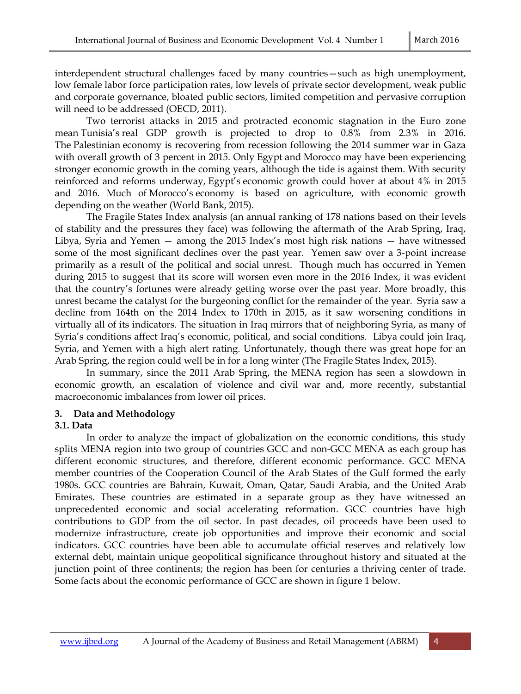interdependent structural challenges faced by many countries—such as high unemployment, low female labor force participation rates, low levels of private sector development, weak public and corporate governance, bloated public sectors, limited competition and pervasive corruption will need to be addressed (OECD, 2011).

 Two terrorist attacks in 2015 and protracted economic stagnation in the Euro zone mean Tunisia's real GDP growth is projected to drop to 0.8% from 2.3% in 2016. The Palestinian economy is recovering from recession following the 2014 summer war in Gaza with overall growth of 3 percent in 2015. Only Egypt and Morocco may have been experiencing stronger economic growth in the coming years, although the tide is against them. With security reinforced and reforms underway, Egypt's economic growth could hover at about 4% in 2015 and 2016. Much of Morocco's economy is based on agriculture, with economic growth depending on the weather (World Bank, 2015).

 The Fragile States Index analysis (an annual ranking of 178 nations based on their levels of stability and the pressures they face) was following the aftermath of the Arab Spring, Iraq, Libya, Syria and Yemen — among the 2015 Index's most high risk nations — have witnessed some of the most significant declines over the past year. Yemen saw over a 3-point increase primarily as a result of the political and social unrest. Though much has occurred in Yemen during 2015 to suggest that its score will worsen even more in the 2016 Index, it was evident that the country's fortunes were already getting worse over the past year. More broadly, this unrest became the catalyst for the burgeoning conflict for the remainder of the year. Syria saw a decline from 164th on the 2014 Index to 170th in 2015, as it saw worsening conditions in virtually all of its indicators. The situation in Iraq mirrors that of neighboring Syria, as many of Syria's conditions affect Iraq's economic, political, and social conditions. Libya could join Iraq, Syria, and Yemen with a high alert rating. Unfortunately, though there was great hope for an Arab Spring, the region could well be in for a long winter (The Fragile States Index, 2015).

 In summary, since the 2011 Arab Spring, the MENA region has seen a slowdown in economic growth, an escalation of violence and civil war and, more recently, substantial macroeconomic imbalances from lower oil prices.

### **3. Data and Methodology**

### **3.1. Data**

 In order to analyze the impact of globalization on the economic conditions, this study splits MENA region into two group of countries GCC and non-GCC MENA as each group has different economic structures, and therefore, different economic performance. GCC MENA member countries of the Cooperation Council of the Arab States of the Gulf formed the early 1980s. GCC countries are Bahrain, Kuwait, Oman, Qatar, Saudi Arabia, and the United Arab Emirates. These countries are estimated in a separate group as they have witnessed an unprecedented economic and social accelerating reformation. GCC countries have high contributions to GDP from the oil sector. In past decades, oil proceeds have been used to modernize infrastructure, create job opportunities and improve their economic and social indicators. GCC countries have been able to accumulate official reserves and relatively low external debt, maintain unique geopolitical significance throughout history and situated at the junction point of three continents; the region has been for centuries a thriving center of trade. Some facts about the economic performance of GCC are shown in figure 1 below.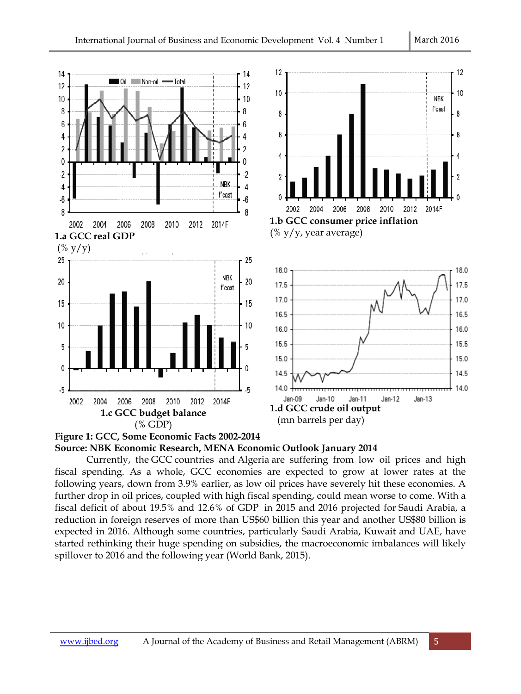



Currently, the GCC countries and Algeria are suffering from low oil prices and high fiscal spending. As a whole, GCC economies are expected to grow at lower rates at the following years, down from 3.9% earlier, as low oil prices have severely hit these economies. A further drop in oil prices, coupled with high fiscal spending, could mean worse to come. With a fiscal deficit of about 19.5% and 12.6% of GDP in 2015 and 2016 projected for Saudi Arabia, a further drop in oil prices, coupled with high fiscal spending, could mean worse to come. With a<br>fiscal deficit of about 19.5% and 12.6% of GDP in 2015 and 2016 projected for Saudi Arabia, a<br>reduction in foreign reserves o expected in 2016. Although some countries, particularly Saudi Arabia, Kuwait and UAE, have started rethinking their huge spending on subsidies, the macroeconomic imbalances will likely spillover to 2016 and the following year (World Bank, 2015).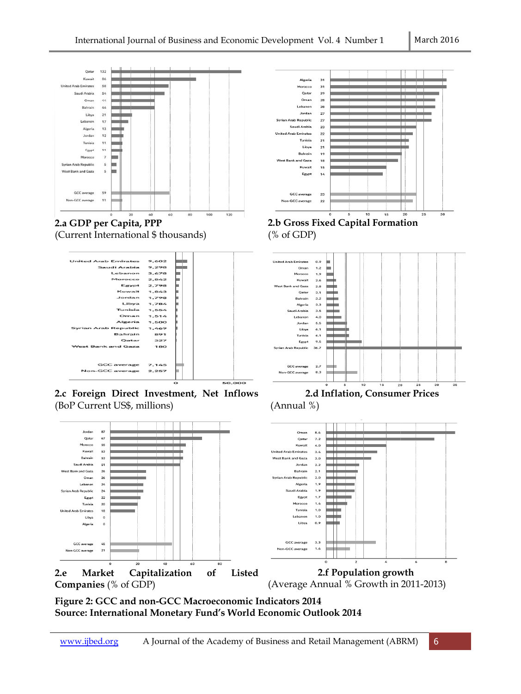



**2.c Foreign Direct Investment, Net Inflows**  (BoP Current US\$, millions)



**Figure 2: GCC and non-GCC Macroeconomic Indicators GCC Indicators 2014 Source: International Monetary Fund's World Economic Outlook 2014**



**2.b Gross Fixed Capital Formation**  (% of GDP)



**2.d Inflation, Consumer Prices** (Annual %)



(Average Annual % Growth in 2011-2013)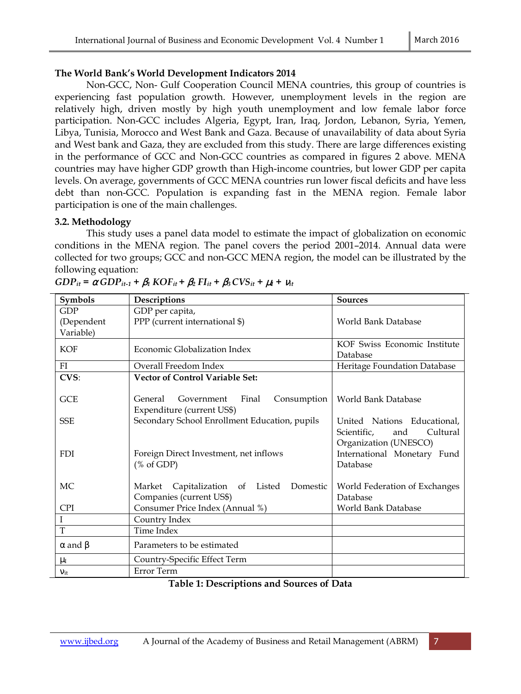### **The World Bank's World Development Indicators 2014**

 Non-GCC, Non- Gulf Cooperation Council MENA countries, this group of countries is experiencing fast population growth. However, unemployment levels in the region are relatively high, driven mostly by high youth unemployment and low female labor force participation. Non-GCC includes Algeria, Egypt, Iran, Iraq, Jordon, Lebanon, Syria, Yemen, Libya, Tunisia, Morocco and West Bank and Gaza. Because of unavailability of data about Syria and West bank and Gaza, they are excluded from this study. There are large differences existing in the performance of GCC and Non-GCC countries as compared in figures 2 above. MENA countries may have higher GDP growth than High-income countries, but lower GDP per capita levels. On average, governments of GCC MENA countries run lower fiscal deficits and have less debt than non-GCC. Population is expanding fast in the MENA region. Female labor participation is one of the main challenges.

## **3.2. Methodology**

 This study uses a panel data model to estimate the impact of globalization on economic conditions in the MENA region. The panel covers the period 2001–2014. Annual data were collected for two groups; GCC and non-GCC MENA region, the model can be illustrated by the following equation:

| Symbols              | Descriptions                                      | <b>Sources</b>                 |  |
|----------------------|---------------------------------------------------|--------------------------------|--|
| <b>GDP</b>           | GDP per capita,                                   |                                |  |
| (Dependent           | PPP (current international \$)                    | World Bank Database            |  |
| Variable)            |                                                   |                                |  |
| <b>KOF</b>           | Economic Globalization Index                      | KOF Swiss Economic Institute   |  |
|                      |                                                   | Database                       |  |
| FI                   | Overall Freedom Index                             | Heritage Foundation Database   |  |
| CVS:                 | <b>Vector of Control Variable Set:</b>            |                                |  |
|                      |                                                   |                                |  |
| GCE                  | Government<br>Final<br>Consumption<br>General     | World Bank Database            |  |
|                      | Expenditure (current US\$)                        |                                |  |
| <b>SSE</b>           | Secondary School Enrollment Education, pupils     | United Nations Educational,    |  |
|                      |                                                   | Scientific,<br>Cultural<br>and |  |
|                      |                                                   | Organization (UNESCO)          |  |
| <b>FDI</b>           | Foreign Direct Investment, net inflows            | International Monetary Fund    |  |
|                      | $(% \mathcal{L}_{0}^{\infty}$ (% of GDP)          | Database                       |  |
|                      |                                                   |                                |  |
| MC                   | Capitalization<br>of Listed<br>Domestic<br>Market | World Federation of Exchanges  |  |
|                      | Companies (current US\$)                          | Database                       |  |
| <b>CPI</b>           | Consumer Price Index (Annual %)                   | World Bank Database            |  |
|                      | Country Index                                     |                                |  |
| T                    | Time Index                                        |                                |  |
| $\alpha$ and $\beta$ | Parameters to be estimated                        |                                |  |
| $\mu_{\rm I}$        | Country-Specific Effect Term                      |                                |  |
| $V_{\rm it}$         | Error Term                                        |                                |  |

## **Table 1: Descriptions and Sources of Data**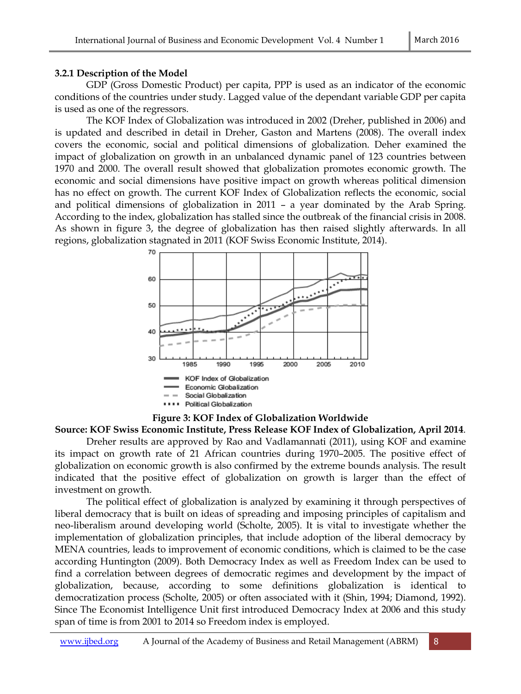#### **3.2.1 Description of the Model**

 GDP (Gross Domestic Product) Product) per capita, PPP is used as an indicator of the economic conditions of the countries under study. Lagged value of the dependant variable GDP per capita is used as one of the regressors.

The KOF Index of Globalization was introduced in 2002 (Dreher, published in 2006) and is updated and described in detail in Dreher, Gaston and Martens (2008). The overall index covers the economic, social and political dimensions of globalization. Deher examined the impact of globalization on growth in an unbalanced dynamic panel of 123 countries between 1970 and 2000. The overall result showed that globalization promotes economic growth. The economic and social dimensions have positive impact on growth whereas political dimension has no effect on growth. The current KOF Index of Globalization reflects the economic, social and political dimensions of globalization in 2011 – a year dominated by the Arab Spring. According to the index, globalization has stalled since the outbreak of the financial crisis in 2008. As shown in figure 3, the degree of globalization has then raised slightly afterwards. In all , regions, globalization stagnated in 2011 (KOF Swiss Economic Institute, 2014).



#### **Figure 3: KOF Index of Globalization Worldwide**

### **Source: KOF Swiss Economic Institute, Press Release KOF Index of Globalization ndex Globalization, April 2014**.

Dreher results are approved by Rao and Vadlamannati (2011), using KOF and examine its impact on growth rate of 21 African countries during 1970 1970–2005. The positive effect of globalization on economic growth is also confirmed by the extreme bounds analysis. The result indicated that the positive effect of globalization on growth is larger than the effect of investment on growth. act on growth rate of 21 African countries during 1970–2005. The positive effect of globalization on extreme bounds analysis. The result ed that the positive effect of globalization on growth is larger than the effect of e

liberal democracy that is built on ideas of spreading and imposing principles of capitalism and neo-liberalism around developing world (Scholte, 2005). It is vital to investigate whether the implementation of globalization principles, that include adoption of the liberal democracy by MENA countries, leads to improvement of economic conditions, which is claimed to be the case according Huntington (2009). Both Democracy Index as well as Freedom Index can be used to find a correlation between degrees of democratic regimes and development by the impact of globalization, because, according to some definitions globalization is identical to democratization process (Scholte, 2005) or often associated with it (Shin, 1994; Diamond, 1992). Since The Economist Intelligence Unit first introduced Democracy Index at 2006 Since The Economist Intelligence Unit first introduced Democra<br>span of time is from 2001 to 2014 so Freedom index is employed. alization on economic growth is also confirmed by the extreme bounds analysis. The result<br>cated that the positive effect of globalization on growth is larger than the effect of<br>stment on growth.<br>The political effect of glo rinciples, that include adoption of the liberal democracy by<br>ement of economic conditions, which is claimed to be the case<br>a Democracy Index as well as Freedom Index can be used to<br>s of democratic regimes and development b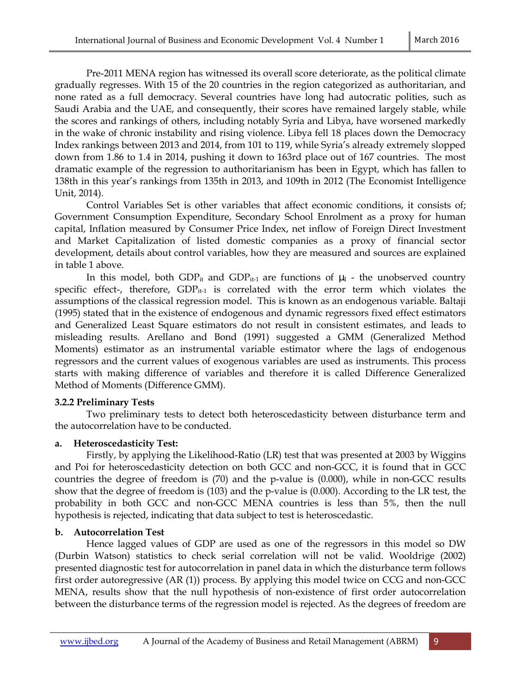Pre-2011 MENA region has witnessed its overall score deteriorate, as the political climate gradually regresses. With 15 of the 20 countries in the region categorized as authoritarian, and none rated as a full democracy. Several countries have long had autocratic polities, such as Saudi Arabia and the UAE, and consequently, their scores have remained largely stable, while the scores and rankings of others, including notably Syria and Libya, have worsened markedly in the wake of chronic instability and rising violence. Libya fell 18 places down the Democracy Index rankings between 2013 and 2014, from 101 to 119, while Syria's already extremely slopped down from 1.86 to 1.4 in 2014, pushing it down to 163rd place out of 167 countries. The most dramatic example of the regression to authoritarianism has been in Egypt, which has fallen to 138th in this year's rankings from 135th in 2013, and 109th in 2012 (The Economist Intelligence Unit, 2014).

 Control Variables Set is other variables that affect economic conditions, it consists of; Government Consumption Expenditure, Secondary School Enrolment as a proxy for human capital, Inflation measured by Consumer Price Index, net inflow of Foreign Direct Investment and Market Capitalization of listed domestic companies as a proxy of financial sector development, details about control variables, how they are measured and sources are explained in table 1 above.

In this model, both GDP<sub>it</sub> and GDP<sub>it-1</sub> are functions of  $\mu_I$  - the unobserved country specific effect-, therefore,  $GDP_{it-1}$  is correlated with the error term which violates the assumptions of the classical regression model. This is known as an endogenous variable. Baltaji (1995) stated that in the existence of endogenous and dynamic regressors fixed effect estimators and Generalized Least Square estimators do not result in consistent estimates, and leads to misleading results. Arellano and Bond (1991) suggested a GMM (Generalized Method Moments) estimator as an instrumental variable estimator where the lags of endogenous regressors and the current values of exogenous variables are used as instruments. This process starts with making difference of variables and therefore it is called Difference Generalized Method of Moments (Difference GMM).

## **3.2.2 Preliminary Tests**

 Two preliminary tests to detect both heteroscedasticity between disturbance term and the autocorrelation have to be conducted.

## **a. Heteroscedasticity Test:**

 Firstly, by applying the Likelihood-Ratio (LR) test that was presented at 2003 by Wiggins and Poi for heteroscedasticity detection on both GCC and non-GCC, it is found that in GCC countries the degree of freedom is (70) and the p-value is (0.000), while in non-GCC results show that the degree of freedom is (103) and the p-value is (0.000). According to the LR test, the probability in both GCC and non-GCC MENA countries is less than 5%, then the null hypothesis is rejected, indicating that data subject to test is heteroscedastic.

## **b. Autocorrelation Test**

 Hence lagged values of GDP are used as one of the regressors in this model so DW (Durbin Watson) statistics to check serial correlation will not be valid. Wooldrige (2002) presented diagnostic test for autocorrelation in panel data in which the disturbance term follows first order autoregressive (AR (1)) process. By applying this model twice on CCG and non-GCC MENA, results show that the null hypothesis of non-existence of first order autocorrelation between the disturbance terms of the regression model is rejected. As the degrees of freedom are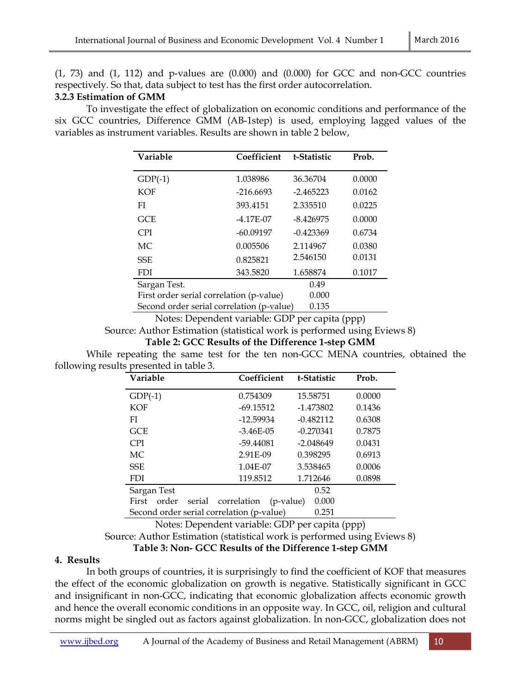$(1, 73)$  and  $(1, 112)$  and p-values are  $(0.000)$  and  $(0.000)$  for GCC and non-GCC countries respectively. So that, data subject to test has the first order autocorrelation.

## **3.2.3 Estimation of GMM**

 To investigate the effect of globalization on economic conditions and performance of the six GCC countries, Difference GMM (AB-1step) is used, employing lagged values of the variables as instrument variables. Results are shown in table 2 below,

| Variable                                           | Coefficient | t-Statistic | Prob.  |  |  |
|----------------------------------------------------|-------------|-------------|--------|--|--|
| $GDP(-1)$                                          | 1.038986    | 36.36704    | 0.0000 |  |  |
| <b>KOF</b>                                         | $-216.6693$ | $-2.465223$ | 0.0162 |  |  |
| FI                                                 | 393.4151    | 2.335510    | 0.0225 |  |  |
| GCE                                                | $-4.17E-07$ | $-8.426975$ | 0.0000 |  |  |
| <b>CPI</b>                                         | $-60.09197$ | $-0.423369$ | 0.6734 |  |  |
| МC                                                 | 0.005506    | 2.114967    | 0.0380 |  |  |
| <b>SSE</b>                                         | 0.825821    | 2.546150    | 0.0131 |  |  |
| FDI                                                | 343.5820    | 1.658874    | 0.1017 |  |  |
| Sargan Test.                                       |             | 0.49        |        |  |  |
| First order serial correlation (p-value)           | 0.000       |             |        |  |  |
| Second order serial correlation (p-value)<br>0.135 |             |             |        |  |  |

Notes: Dependent variable: GDP per capita (ppp)

Source: Author Estimation (statistical work is performed using Eviews 8)

**Table 2: GCC Results of the Difference 1-step GMM**

 While repeating the same test for the ten non-GCC MENA countries, obtained the following results presented in table 3.

| Variable                                  | Coefficient              | t-Statistic | Prob.  |
|-------------------------------------------|--------------------------|-------------|--------|
| $GDP(-1)$                                 | 0.754309                 | 15.58751    | 0.0000 |
| <b>KOF</b>                                | $-69.15512$              | $-1.473802$ | 0.1436 |
| FI                                        | $-12.59934$              | $-0.482112$ | 0.6308 |
| <b>GCE</b>                                | $-3.46E - 05$            | $-0.270341$ | 0.7875 |
| <b>CPI</b>                                | -59.44081                | -2.048649   | 0.0431 |
| МC                                        | 2.91E-09                 | 0.398295    | 0.6913 |
| <b>SSE</b>                                | 1.04E-07                 | 3.538465    | 0.0006 |
| <b>FDI</b>                                | 119.8512                 | 1.712646    | 0.0898 |
| Sargan Test                               |                          | 0.52        |        |
| order<br>First<br>serial                  | correlation<br>(p-value) | 0.000       |        |
| Second order serial correlation (p-value) |                          | 0.251       |        |

Notes: Dependent variable: GDP per capita (ppp)

Source: Author Estimation (statistical work is performed using Eviews 8)

**Table 3: Non- GCC Results of the Difference 1-step GMM** 

## **4. Results**

 In both groups of countries, it is surprisingly to find the coefficient of KOF that measures the effect of the economic globalization on growth is negative. Statistically significant in GCC and insignificant in non-GCC, indicating that economic globalization affects economic growth and hence the overall economic conditions in an opposite way. In GCC, oil, religion and cultural norms might be singled out as factors against globalization. In non-GCC, globalization does not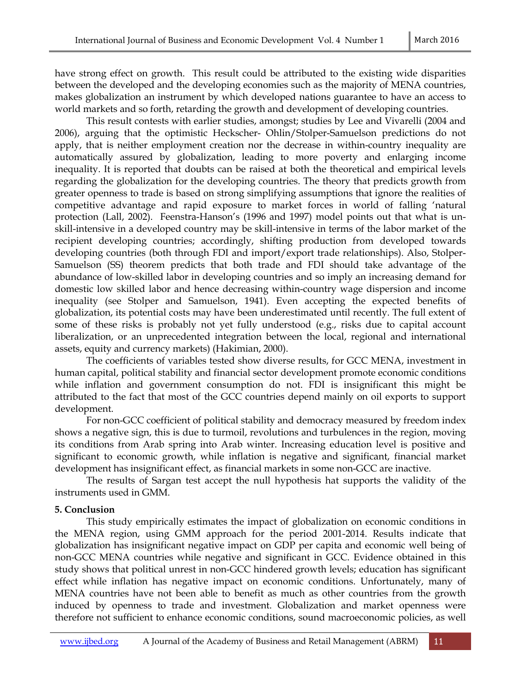have strong effect on growth. This result could be attributed to the existing wide disparities between the developed and the developing economies such as the majority of MENA countries, makes globalization an instrument by which developed nations guarantee to have an access to world markets and so forth, retarding the growth and development of developing countries.

 This result contests with earlier studies, amongst; studies by Lee and Vivarelli (2004 and 2006), arguing that the optimistic Heckscher- Ohlin/Stolper-Samuelson predictions do not apply, that is neither employment creation nor the decrease in within-country inequality are automatically assured by globalization, leading to more poverty and enlarging income inequality. It is reported that doubts can be raised at both the theoretical and empirical levels regarding the globalization for the developing countries. The theory that predicts growth from greater openness to trade is based on strong simplifying assumptions that ignore the realities of competitive advantage and rapid exposure to market forces in world of falling 'natural protection (Lall, 2002). Feenstra-Hanson's (1996 and 1997) model points out that what is unskill-intensive in a developed country may be skill-intensive in terms of the labor market of the recipient developing countries; accordingly, shifting production from developed towards developing countries (both through FDI and import/export trade relationships). Also, Stolper-Samuelson (SS) theorem predicts that both trade and FDI should take advantage of the abundance of low-skilled labor in developing countries and so imply an increasing demand for domestic low skilled labor and hence decreasing within-country wage dispersion and income inequality (see Stolper and Samuelson, 1941). Even accepting the expected benefits of globalization, its potential costs may have been underestimated until recently. The full extent of some of these risks is probably not yet fully understood (e.g., risks due to capital account liberalization, or an unprecedented integration between the local, regional and international assets, equity and currency markets) (Hakimian, 2000).

 The coefficients of variables tested show diverse results, for GCC MENA, investment in human capital, political stability and financial sector development promote economic conditions while inflation and government consumption do not. FDI is insignificant this might be attributed to the fact that most of the GCC countries depend mainly on oil exports to support development.

 For non-GCC coefficient of political stability and democracy measured by freedom index shows a negative sign, this is due to turmoil, revolutions and turbulences in the region, moving its conditions from Arab spring into Arab winter. Increasing education level is positive and significant to economic growth, while inflation is negative and significant, financial market development has insignificant effect, as financial markets in some non-GCC are inactive.

 The results of Sargan test accept the null hypothesis hat supports the validity of the instruments used in GMM.

#### **5. Conclusion**

 This study empirically estimates the impact of globalization on economic conditions in the MENA region, using GMM approach for the period 2001-2014. Results indicate that globalization has insignificant negative impact on GDP per capita and economic well being of non-GCC MENA countries while negative and significant in GCC. Evidence obtained in this study shows that political unrest in non-GCC hindered growth levels; education has significant effect while inflation has negative impact on economic conditions. Unfortunately, many of MENA countries have not been able to benefit as much as other countries from the growth induced by openness to trade and investment. Globalization and market openness were therefore not sufficient to enhance economic conditions, sound macroeconomic policies, as well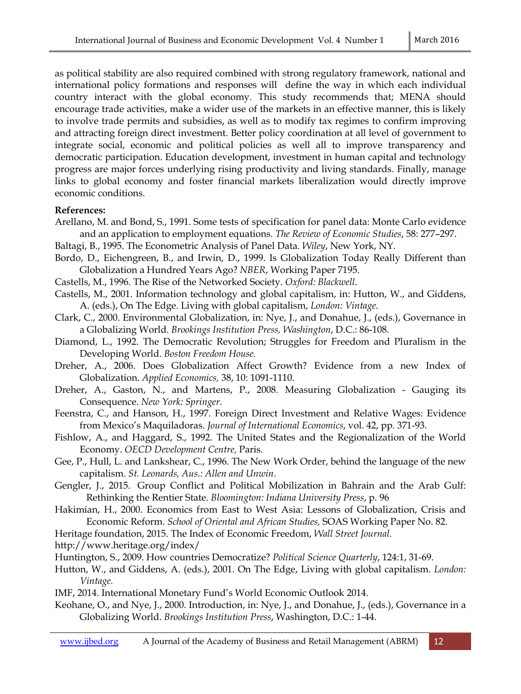as political stability are also required combined with strong regulatory framework, national and international policy formations and responses will define the way in which each individual country interact with the global economy. This study recommends that; MENA should encourage trade activities, make a wider use of the markets in an effective manner, this is likely to involve trade permits and subsidies, as well as to modify tax regimes to confirm improving and attracting foreign direct investment. Better policy coordination at all level of government to integrate social, economic and political policies as well all to improve transparency and democratic participation. Education development, investment in human capital and technology progress are major forces underlying rising productivity and living standards. Finally, manage links to global economy and foster financial markets liberalization would directly improve economic conditions.

## **References:**

- Arellano, M. and Bond, S., 1991. Some tests of specification for panel data: Monte Carlo evidence and an application to employment equations. *The Review of Economic Studies*, 58: 277–297.
- Baltagi, B., 1995. The Econometric Analysis of Panel Data. *Wiley*, New York, NY.
- Bordo, D., Eichengreen, B., and Irwin, D., 1999. Is Globalization Today Really Different than Globalization a Hundred Years Ago? *NBER*, Working Paper 7195.
- Castells, M., 1996. The Rise of the Networked Society. *Oxford: Blackwell*.
- Castells, M., 2001. Information technology and global capitalism, in: Hutton, W., and Giddens, A. (eds.), On The Edge. Living with global capitalism, *London: Vintage*.
- Clark, C., 2000. Environmental Globalization, in: Nye, J., and Donahue, J., (eds.), Governance in a Globalizing World. *Brookings Institution Press, Washington*, D.C.: 86-108.
- Diamond, L., 1992. The Democratic Revolution; Struggles for Freedom and Pluralism in the Developing World. *Boston Freedom House.*
- Dreher, A., 2006. Does Globalization Affect Growth? Evidence from a new Index of Globalization. *Applied Economics,* 38, 10: 1091-1110.
- Dreher, A., Gaston, N., and Martens, P., 2008. Measuring Globalization Gauging its Consequence. *New York: Springer*.
- Feenstra, C., and Hanson, H., 1997. Foreign Direct Investment and Relative Wages: Evidence from Mexico's Maquiladoras. *Journal of International Economics*, vol. 42, pp. 371-93.
- Fishlow, A., and Haggard, S., 1992. The United States and the Regionalization of the World Economy. *OECD Development Centre,* Paris.
- Gee, P., Hull, L. and Lankshear, C., 1996. The New Work Order, behind the language of the new capitalism. *St. Leonards, Aus.: Allen and Unwin*.
- Gengler, J., 2015. Group Conflict and Political Mobilization in Bahrain and the Arab Gulf: Rethinking the Rentier State. *Bloomington: Indiana University Press*, p. 96
- Hakimian, H., 2000. Economics from East to West Asia: Lessons of Globalization, Crisis and Economic Reform. *School of Oriental and African Studies,* SOAS Working Paper No. 82.

Heritage foundation, 2015. The Index of Economic Freedom, *Wall Street Journal.* 

http://www.heritage.org/index/

Huntington, S., 2009. How countries Democratize? *Political Science Quarterly*, 124:1, 31-69.

- Hutton, W., and Giddens, A. (eds.), 2001. On The Edge, Living with global capitalism. *London: Vintage.*
- IMF, 2014. International Monetary Fund's World Economic Outlook 2014.
- Keohane, O., and Nye, J., 2000. Introduction, in: Nye, J., and Donahue, J., (eds.), Governance in a Globalizing World. *Brookings Institution Press*, Washington, D.C.: 1-44.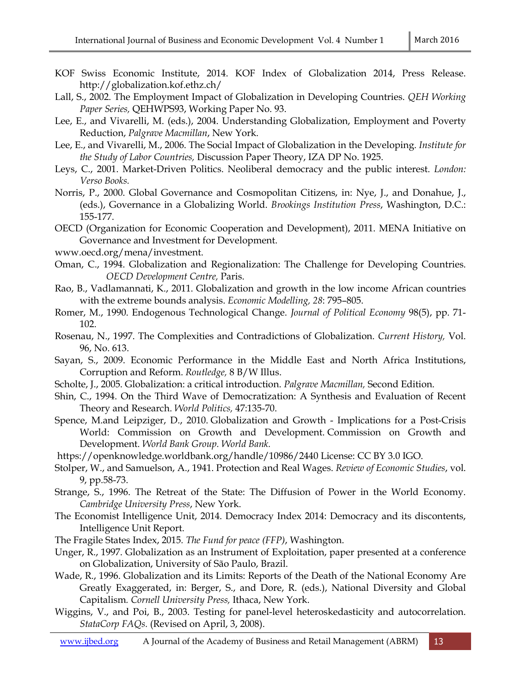- KOF Swiss Economic Institute, 2014. KOF Index of Globalization 2014, Press Release. http://globalization.kof.ethz.ch/
- Lall, S., 2002. The Employment Impact of Globalization in Developing Countries. *QEH Working Paper Series,* QEHWPS93, Working Paper No. 93.
- Lee, E., and Vivarelli, M. (eds.), 2004. Understanding Globalization, Employment and Poverty Reduction, *Palgrave Macmillan*, New York.
- Lee, E., and Vivarelli, M., 2006. The Social Impact of Globalization in the Developing. *Institute for the Study of Labor Countries,* Discussion Paper Theory, IZA DP No. 1925.
- Leys, C., 2001. Market-Driven Politics. Neoliberal democracy and the public interest. *London: Verso Books.*
- Norris, P., 2000. Global Governance and Cosmopolitan Citizens, in: Nye, J., and Donahue, J., (eds.), Governance in a Globalizing World. *Brookings Institution Press*, Washington, D.C.: 155-177.

OECD (Organization for Economic Cooperation and Development), 2011. MENA Initiative on Governance and Investment for Development.

www.oecd.org/mena/investment.

- Oman, C., 1994. Globalization and Regionalization: The Challenge for Developing Countries. *OECD Development Centre,* Paris.
- Rao, B., Vadlamannati, K., 2011. Globalization and growth in the low income African countries with the extreme bounds analysis. *Economic Modelling, 28*: 795–805.
- Romer, M., 1990. Endogenous Technological Change. *Journal of Political Economy* 98(5), pp. 71- 102.
- Rosenau, N., 1997. The Complexities and Contradictions of Globalization. *Current History,* Vol. 96, No. 613.
- Sayan, S., 2009. Economic Performance in the Middle East and North Africa Institutions, Corruption and Reform. *Routledge,* 8 B/W Illus.
- Scholte, J., 2005. Globalization: a critical introduction. *Palgrave Macmillan,* Second Edition.
- Shin, C., 1994. On the Third Wave of Democratization: A Synthesis and Evaluation of Recent Theory and Research. *World Politics,* 47:135-70.
- Spence, M.and Leipziger, D., 2010. Globalization and Growth Implications for a Post-Crisis World: Commission on Growth and Development. Commission on Growth and Development. *World Bank Group. World Bank.*
- https://openknowledge.worldbank.org/handle/10986/2440 License: CC BY 3.0 IGO.
- Stolper, W., and Samuelson, A., 1941. Protection and Real Wages. *Review of Economic Studies*, vol. 9, pp.58-73.
- Strange, S., 1996. The Retreat of the State: The Diffusion of Power in the World Economy. *Cambridge University Press*, New York.
- The Economist Intelligence Unit, 2014. Democracy Index 2014: Democracy and its discontents, Intelligence Unit Report.
- The Fragile States Index, 2015*. The Fund for peace (FFP)*, Washington.
- Unger, R., 1997. Globalization as an Instrument of Exploitation, paper presented at a conference on Globalization, University of São Paulo, Brazil.
- Wade, R., 1996. Globalization and its Limits: Reports of the Death of the National Economy Are Greatly Exaggerated, in: Berger, S., and Dore, R. (eds.), National Diversity and Global Capitalism*. Cornell University Press,* Ithaca, New York.
- Wiggins, V., and Poi, B., 2003. Testing for panel-level heteroskedasticity and autocorrelation. *StataCorp FAQs.* (Revised on April, 3, 2008).